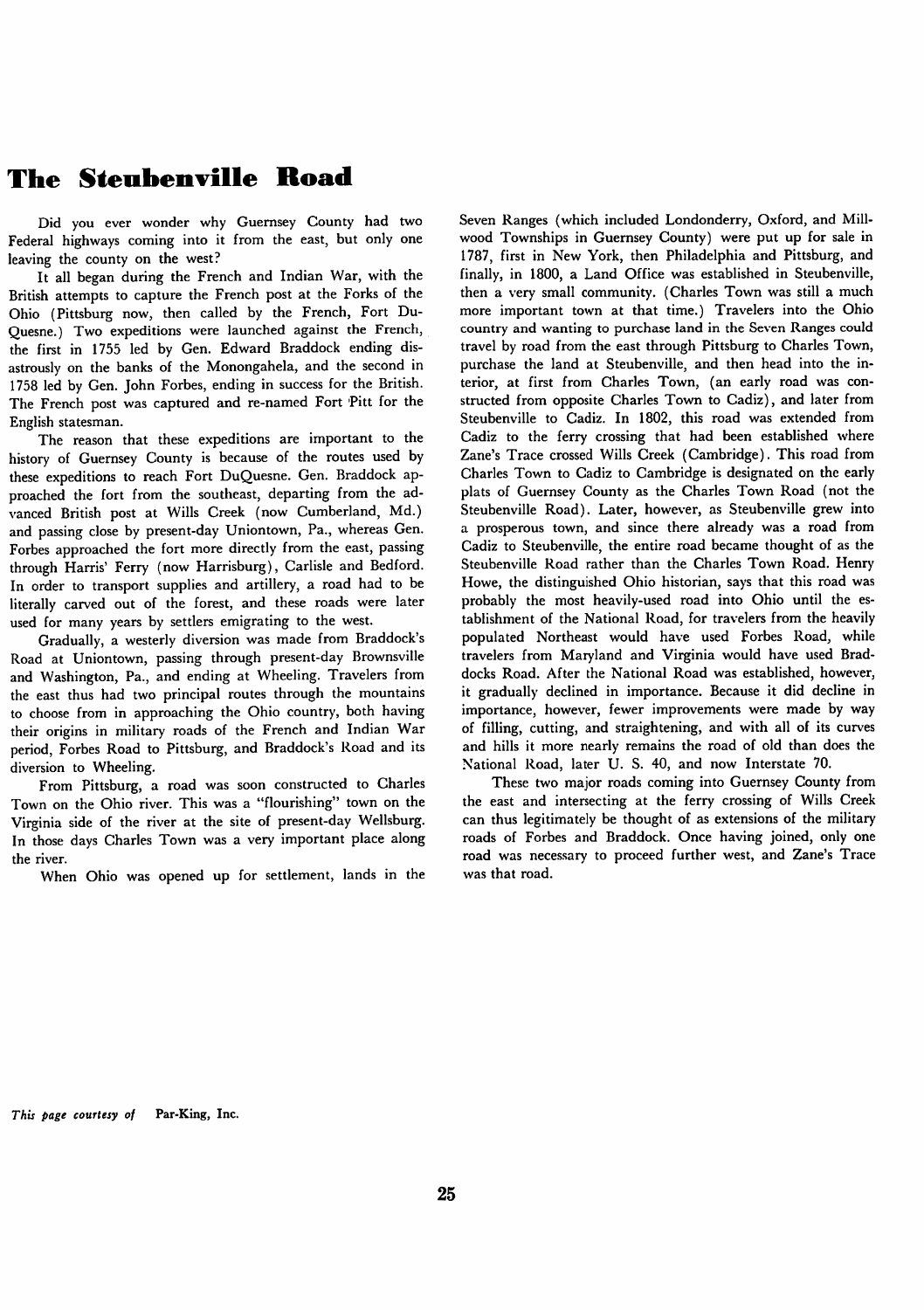## *The Steubenville Road*

Did you ever wonder why Guernsey County had two Federal highways coming into it from the east, but only one leaving the county on the west?

It all began during the French and Indian War, with the British attempts to capture the French post at the Forks of the Ohio (Pittsburg now, then called by the French, Fort Du-Quesne.) Two expeditions were launched against the French, the first in 1755 led by Gen. Edward Braddock ending dis astrously on the banks of the Monongahela, and the second in 1758 led by Gen. John Forbes, ending in success for the British. The French post was captured and re-named Fort Pitt for the English statesman.

The reason that these expeditions are important to the history of Guernsey County is because of the routes used by these expeditions to reach Fort DuQuesne. Gen. Braddock ap proached the fort from the southeast, departing from the ad vanced British post at Wills Creek (now Cumberland, Md.) and passing close by present-day Uniontown, Pa., whereas Gen. Forbes approached the fort more directly from the east, passing through Harris' Ferry (now Harrisburg), Carlisle and Bedford. In order to transport supplies and artillery, a road had to be literally carved out of the forest, and these roads were later used for many years by settlers emigrating to the west.

Gradually, a westerly diversion was made from Braddock's Road at Uniontown, passing through present-day Brownsville and Washington, Pa., and ending at Wheeling. Travelers from the east thus had two principal routes through the mountains to choose from in approaching the Ohio country, both having their origins in military roads of the French and Indian War period, Forbes Road to Pittsburg, and Braddock's Road and its diversion to Wheeling.

From Pittsburg, a road was soon constructed to Charles Town on the Ohio river. This was a "flourishing" town on the Virginia side of the river at the site of present-day Wellsburg. In those days Charles Town was a very important place along the river.

When Ohio was opened up for settlement, lands in the

Seven Ranges (which included Londonderry, Oxford, and Mill wood Townships in Guernsey County) were put up for sale in 1787, first in New York, then Philadelphia and Pittsburg, and finally, in 1800, a Land Office was established in Steubenville, then a very small community. (Charles Town was still a much more important town at that time.) Travelers into the Ohio country and wanting to purchase land in the Seven Ranges could travel by road from the east through Pittsburg to Charles Town, purchase the land at Steubenville, and then head into the in terior, at first from Charles Town, (an early road was con structed from opposite Charles Town to Cadiz), and later from Steubenville to Cadiz. In 1802, this road was extended from Cadiz to the ferry crossing that had been established where Zane's Trace crossed Wills Creek (Cambridge). This road from Charles Town to Cadiz to Cambridge is designated on the early plats of Guernsey County as the Charles Town Road (not the Steubenville Road). Later, however, as Steubenville grew into a prosperous town, and since there already was a road from Cadiz to Steubenville, the entire road became thought of as the Steubenville Road rather than the Charles Town Road. Henry Howe, the distinguished Ohio historian, says that this road was probably the most heavily-used road into Ohio until the es tablishment of the National Road, for travelers from the heavily populated Northeast would have used Forbes Road, while travelers from Maryland and Virginia would have used Braddocks Road. After the National Road was established, however, it gradually declined in importance. Because it did decline in importance, however, fewer improvements were made by way of filling, cutting, and straightening, and with all of its curves and hills it more nearly remains the road of old than does the National Road, later U. S. 40, and now Interstate 70.

These two major roads coming into Guernsey County from the east and intersecting at the ferry crossing of Wills Creek can thus legitimately be thought of as extensions of the military roads of Forbes and Braddock. Once having joined, only one road was necessary to proceed further west, and Zane's Trace was that road.

**This page courtesy of** Par-King, Inc.